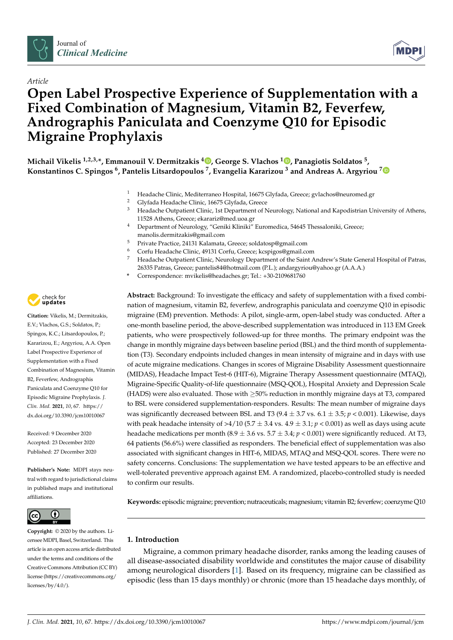

## *Article*

# **Open Label Prospective Experience of Supplementation with a Fixed Combination of Magnesium, Vitamin B2, Feverfew, Andrographis Paniculata and Coenzyme Q10 for Episodic Migraine Prophylaxis**

**Michail Vikelis 1,2,3,\*, Emmanouil V. Dermitzakis <sup>4</sup> [,](https://orcid.org/0000-0001-9275-0076) George S. Vlachos <sup>1</sup> [,](https://orcid.org/0000-0002-0757-2808) Panagiotis Soldatos <sup>5</sup> , Konstantinos C. Spingos <sup>6</sup> , Pantelis Litsardopoulos <sup>7</sup> , Evangelia Kararizou <sup>3</sup> and Andreas A. Argyriou [7](https://orcid.org/0000-0003-2131-7114)**

- <sup>1</sup> Headache Clinic, Mediterraneo Hospital, 16675 Glyfada, Greece; gvlachos@neuromed.gr
- <sup>2</sup> Glyfada Headache Clinic, 16675 Glyfada, Greece
	- <sup>3</sup> Headache Outpatient Clinic, 1st Department of Neurology, National and Kapodistrian University of Athens, 11528 Athens, Greece; ekarariz@med.uoa.gr
- <sup>4</sup> Department of Neurology, "Geniki Kliniki" Euromedica, 54645 Thessaloniki, Greece; manolis.dermitzakis@gmail.com
- <sup>5</sup> Private Practice, 24131 Kalamata, Greece; soldatosp@gmail.com
- <sup>6</sup> Corfu Headache Clinic, 49131 Corfu, Greece; kcspigos@gmail.com
- <sup>7</sup> Headache Outpatient Clinic, Neurology Department of the Saint Andrew's State General Hospital of Patras, 26335 Patras, Greece; pantelis84@hotmail.com (P.L.); andargyriou@yahoo.gr (A.A.A.)
- **\*** Correspondence: mvikelis@headaches.gr; Tel.: +30-2109681760

**Abstract:** Background: To investigate the efficacy and safety of supplementation with a fixed combination of magnesium, vitamin B2, feverfew, andrographis paniculata and coenzyme Q10 in episodic migraine (EM) prevention. Methods: A pilot, single-arm, open-label study was conducted. After a one-month baseline period, the above-described supplementation was introduced in 113 EM Greek patients, who were prospectively followed-up for three months. The primary endpoint was the change in monthly migraine days between baseline period (BSL) and the third month of supplementation (T3). Secondary endpoints included changes in mean intensity of migraine and in days with use of acute migraine medications. Changes in scores of Migraine Disability Assessment questionnaire (MIDAS), Headache Impact Test-6 (HIT-6), Migraine Therapy Assessment questionnaire (MTAQ), Migraine-Specific Quality-of-life questionnaire (MSQ-QOL), Hospital Anxiety and Depression Scale (HADS) were also evaluated. Those with  $\geq$ 50% reduction in monthly migraine days at T3, compared to BSL were considered supplementation-responders. Results: The mean number of migraine days was significantly decreased between BSL and T3 (9.4 ± 3.7 vs. 6.1 ± 3.5; *p* < 0.001). Likewise, days with peak headache intensity of  $>4/10$  (5.7  $\pm$  3.4 vs. 4.9  $\pm$  3.1; *p* < 0.001) as well as days using acute headache medications per month (8.9  $\pm$  3.6 vs. 5.7  $\pm$  3.4; *p* < 0.001) were significantly reduced. At T3, 64 patients (56.6%) were classified as responders. The beneficial effect of supplementation was also associated with significant changes in HIT-6, MIDAS, MTAQ and MSQ-QOL scores. There were no safety concerns. Conclusions: The supplementation we have tested appears to be an effective and well-tolerated preventive approach against EM. A randomized, placebo-controlled study is needed to confirm our results.

**Keywords:** episodic migraine; prevention; nutraceuticals; magnesium; vitamin B2; feverfew; coenzyme Q10

## **1. Introduction**

Migraine, a common primary headache disorder, ranks among the leading causes of all disease-associated disability worldwide and constitutes the major cause of disability among neurological disorders [\[1\]](#page-9-0). Based on its frequency, migraine can be classified as episodic (less than 15 days monthly) or chronic (more than 15 headache days monthly, of



**Citation:** Vikelis, M.; Dermitzakis, E.V.; Vlachos, G.S.; Soldatos, P.; Spingos, K.C.; Litsardopoulos, P.; Kararizou, E.; Argyriou, A.A. Open Label Prospective Experience of Supplementation with a Fixed Combination of Magnesium, Vitamin B2, Feverfew, Andrographis Paniculata and Coenzyme Q10 for Episodic Migraine Prophylaxis. *J. Clin. Med.* **2021**, *10*, 67. [https://](https://dx.doi.org/10.3390/jcm10010067) [dx.doi.org/10.3390/jcm10010067](https://dx.doi.org/10.3390/jcm10010067)

Received: 9 December 2020 Accepted: 23 December 2020 Published: 27 December 2020

**Publisher's Note:** MDPI stays neutral with regard to jurisdictional claims in published maps and institutional affiliations.



**Copyright:** © 2020 by the authors. Licensee MDPI, Basel, Switzerland. This article is an open access article distributed under the terms and conditions of the Creative Commons Attribution (CC BY) license [\(https://creativecommons.org/](https://creativecommons.org/licenses/by/4.0/) [licenses/by/4.0/\)](https://creativecommons.org/licenses/by/4.0/).

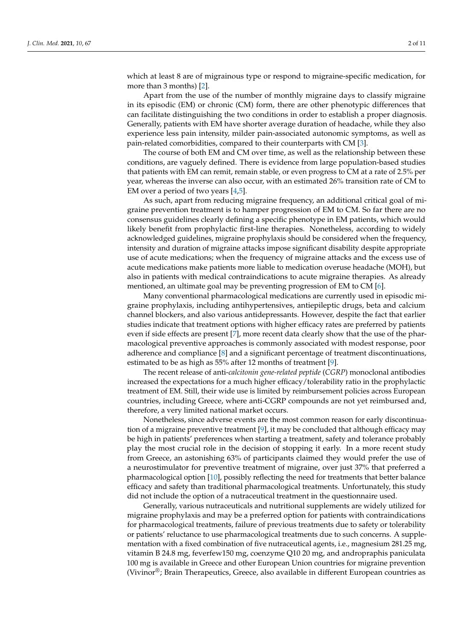which at least 8 are of migrainous type or respond to migraine-specific medication, for more than 3 months) [\[2\]](#page-9-1).

Apart from the use of the number of monthly migraine days to classify migraine in its episodic (EM) or chronic (CM) form, there are other phenotypic differences that can facilitate distinguishing the two conditions in order to establish a proper diagnosis. Generally, patients with EM have shorter average duration of headache, while they also experience less pain intensity, milder pain-associated autonomic symptoms, as well as pain-related comorbidities, compared to their counterparts with CM [\[3\]](#page-9-2).

The course of both EM and CM over time, as well as the relationship between these conditions, are vaguely defined. There is evidence from large population-based studies that patients with EM can remit, remain stable, or even progress to CM at a rate of 2.5% per year, whereas the inverse can also occur, with an estimated 26% transition rate of CM to EM over a period of two years [\[4,](#page-9-3)[5\]](#page-9-4).

As such, apart from reducing migraine frequency, an additional critical goal of migraine prevention treatment is to hamper progression of EM to CM. So far there are no consensus guidelines clearly defining a specific phenotype in EM patients, which would likely benefit from prophylactic first-line therapies. Nonetheless, according to widely acknowledged guidelines, migraine prophylaxis should be considered when the frequency, intensity and duration of migraine attacks impose significant disability despite appropriate use of acute medications; when the frequency of migraine attacks and the excess use of acute medications make patients more liable to medication overuse headache (MOH), but also in patients with medical contraindications to acute migraine therapies. As already mentioned, an ultimate goal may be preventing progression of EM to CM [\[6\]](#page-9-5).

Many conventional pharmacological medications are currently used in episodic migraine prophylaxis, including antihypertensives, antiepileptic drugs, beta and calcium channel blockers, and also various antidepressants. However, despite the fact that earlier studies indicate that treatment options with higher efficacy rates are preferred by patients even if side effects are present [\[7\]](#page-9-6), more recent data clearly show that the use of the pharmacological preventive approaches is commonly associated with modest response, poor adherence and compliance [\[8\]](#page-9-7) and a significant percentage of treatment discontinuations, estimated to be as high as 55% after 12 months of treatment [\[9\]](#page-9-8).

The recent release of anti-*calcitonin gene-related peptide* (*CGRP*) monoclonal antibodies increased the expectations for a much higher efficacy/tolerability ratio in the prophylactic treatment of EM. Still, their wide use is limited by reimbursement policies across European countries, including Greece, where anti-CGRP compounds are not yet reimbursed and, therefore, a very limited national market occurs.

Nonetheless, since adverse events are the most common reason for early discontinuation of a migraine preventive treatment [\[9\]](#page-9-8), it may be concluded that although efficacy may be high in patients' preferences when starting a treatment, safety and tolerance probably play the most crucial role in the decision of stopping it early. In a more recent study from Greece, an astonishing 63% of participants claimed they would prefer the use of a neurostimulator for preventive treatment of migraine, over just 37% that preferred a pharmacological option [\[10\]](#page-9-9), possibly reflecting the need for treatments that better balance efficacy and safety than traditional pharmacological treatments. Unfortunately, this study did not include the option of a nutraceutical treatment in the questionnaire used.

Generally, various nutraceuticals and nutritional supplements are widely utilized for migraine prophylaxis and may be a preferred option for patients with contraindications for pharmacological treatments, failure of previous treatments due to safety or tolerability or patients' reluctance to use pharmacological treatments due to such concerns. A supplementation with a fixed combination of five nutraceutical agents, i.e., magnesium 281.25 mg, vitamin B 24.8 mg, feverfew150 mg, coenzyme Q10 20 mg, and andropraphis paniculata 100 mg is available in Greece and other European Union countries for migraine prevention (Vivinor<sup>®</sup>; Brain Therapeutics, Greece, also available in different European countries as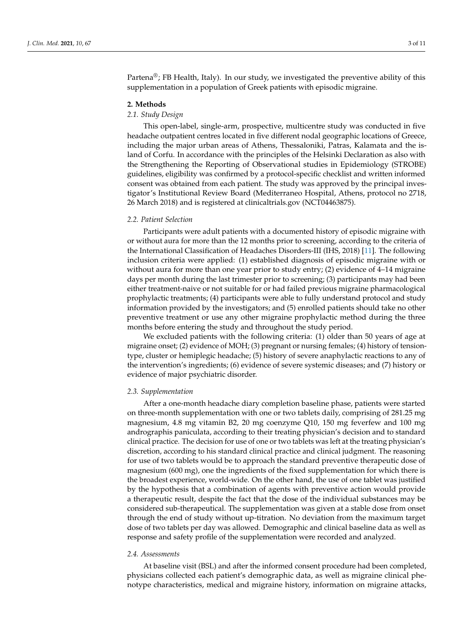Partena®; FB Health, Italy). In our study, we investigated the preventive ability of this supplementation in a population of Greek patients with episodic migraine.

#### **2. Methods**

## *2.1. Study Design*

This open-label, single-arm, prospective, multicentre study was conducted in five headache outpatient centres located in five different nodal geographic locations of Greece, including the major urban areas of Athens, Thessaloniki, Patras, Kalamata and the island of Corfu. In accordance with the principles of the Helsinki Declaration as also with the Strengthening the Reporting of Observational studies in Epidemiology (STROBE) guidelines, eligibility was confirmed by a protocol-specific checklist and written informed consent was obtained from each patient. The study was approved by the principal investigator's Institutional Review Board (Mediterraneo Hospital, Athens, protocol no 2718, 26 March 2018) and is registered at clinicaltrials.gov (NCT04463875).

### *2.2. Patient Selection*

Participants were adult patients with a documented history of episodic migraine with or without aura for more than the 12 months prior to screening, according to the criteria of the International Classification of Headaches Disorders-III (IHS, 2018) [\[11\]](#page-9-10). The following inclusion criteria were applied: (1) established diagnosis of episodic migraine with or without aura for more than one year prior to study entry; (2) evidence of 4–14 migraine days per month during the last trimester prior to screening; (3) participants may had been either treatment-naive or not suitable for or had failed previous migraine pharmacological prophylactic treatments; (4) participants were able to fully understand protocol and study information provided by the investigators; and (5) enrolled patients should take no other preventive treatment or use any other migraine prophylactic method during the three months before entering the study and throughout the study period.

We excluded patients with the following criteria: (1) older than 50 years of age at migraine onset; (2) evidence of MOH; (3) pregnant or nursing females; (4) history of tensiontype, cluster or hemiplegic headache; (5) history of severe anaphylactic reactions to any of the intervention's ingredients; (6) evidence of severe systemic diseases; and (7) history or evidence of major psychiatric disorder.

#### *2.3. Supplementation*

After a one-month headache diary completion baseline phase, patients were started on three-month supplementation with one or two tablets daily, comprising of 281.25 mg magnesium, 4.8 mg vitamin B2, 20 mg coenzyme Q10, 150 mg feverfew and 100 mg andrographis paniculata, according to their treating physician's decision and to standard clinical practice. The decision for use of one or two tablets was left at the treating physician's discretion, according to his standard clinical practice and clinical judgment. The reasoning for use of two tablets would be to approach the standard preventive therapeutic dose of magnesium (600 mg), one the ingredients of the fixed supplementation for which there is the broadest experience, world-wide. On the other hand, the use of one tablet was justified by the hypothesis that a combination of agents with preventive action would provide a therapeutic result, despite the fact that the dose of the individual substances may be considered sub-therapeutical. The supplementation was given at a stable dose from onset through the end of study without up-titration. No deviation from the maximum target dose of two tablets per day was allowed. Demographic and clinical baseline data as well as response and safety profile of the supplementation were recorded and analyzed.

#### *2.4. Assessments*

At baseline visit (BSL) and after the informed consent procedure had been completed, physicians collected each patient's demographic data, as well as migraine clinical phenotype characteristics, medical and migraine history, information on migraine attacks,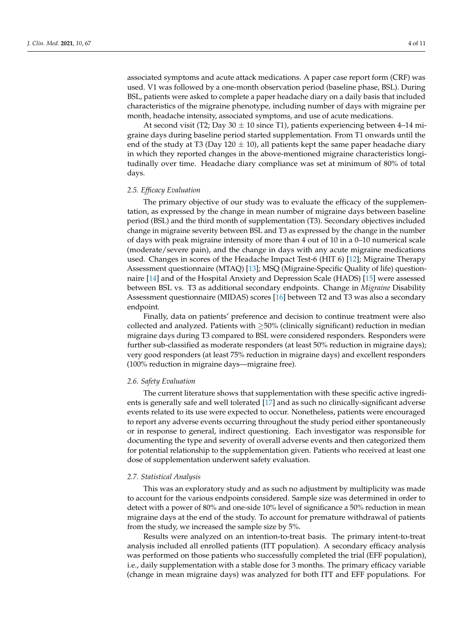associated symptoms and acute attack medications. A paper case report form (CRF) was used. V1 was followed by a one-month observation period (baseline phase, BSL). During BSL, patients were asked to complete a paper headache diary on a daily basis that included characteristics of the migraine phenotype, including number of days with migraine per month, headache intensity, associated symptoms, and use of acute medications.

At second visit (T2; Day  $30 \pm 10$  since T1), patients experiencing between 4–14 migraine days during baseline period started supplementation. From T1 onwards until the end of the study at T3 (Day 120  $\pm$  10), all patients kept the same paper headache diary in which they reported changes in the above-mentioned migraine characteristics longitudinally over time. Headache diary compliance was set at minimum of 80% of total days.

#### *2.5. Efficacy Evaluation*

The primary objective of our study was to evaluate the efficacy of the supplementation, as expressed by the change in mean number of migraine days between baseline period (BSL) and the third month of supplementation (T3). Secondary objectives included change in migraine severity between BSL and T3 as expressed by the change in the number of days with peak migraine intensity of more than 4 out of 10 in a 0–10 numerical scale (moderate/severe pain), and the change in days with any acute migraine medications used. Changes in scores of the Headache Impact Test-6 (HIT 6) [\[12\]](#page-9-11); Migraine Therapy Assessment questionnaire (MTAQ) [\[13\]](#page-9-12); MSQ (Migraine-Specific Quality of life) questionnaire [\[14\]](#page-9-13) and of the Hospital Anxiety and Depression Scale (HADS) [\[15\]](#page-9-14) were assessed between BSL vs. T3 as additional secondary endpoints. Change in *Migraine* Disability Assessment questionnaire (MIDAS) scores [\[16\]](#page-9-15) between T2 and T3 was also a secondary endpoint.

Finally, data on patients' preference and decision to continue treatment were also collected and analyzed. Patients with  $\geq$ 50% (clinically significant) reduction in median migraine days during T3 compared to BSL were considered responders. Responders were further sub-classified as moderate responders (at least 50% reduction in migraine days); very good responders (at least 75% reduction in migraine days) and excellent responders (100% reduction in migraine days—migraine free).

#### *2.6. Safety Evaluation*

The current literature shows that supplementation with these specific active ingredients is generally safe and well tolerated [\[17\]](#page-9-16) and as such no clinically-significant adverse events related to its use were expected to occur. Nonetheless, patients were encouraged to report any adverse events occurring throughout the study period either spontaneously or in response to general, indirect questioning. Each investigator was responsible for documenting the type and severity of overall adverse events and then categorized them for potential relationship to the supplementation given. Patients who received at least one dose of supplementation underwent safety evaluation.

### *2.7. Statistical Analysis*

This was an exploratory study and as such no adjustment by multiplicity was made to account for the various endpoints considered. Sample size was determined in order to detect with a power of 80% and one-side 10% level of significance a 50% reduction in mean migraine days at the end of the study. To account for premature withdrawal of patients from the study, we increased the sample size by 5%.

Results were analyzed on an intention-to-treat basis. The primary intent-to-treat analysis included all enrolled patients (ITT population). A secondary efficacy analysis was performed on those patients who successfully completed the trial (EFF population), i.e., daily supplementation with a stable dose for 3 months. The primary efficacy variable (change in mean migraine days) was analyzed for both ITT and EFF populations. For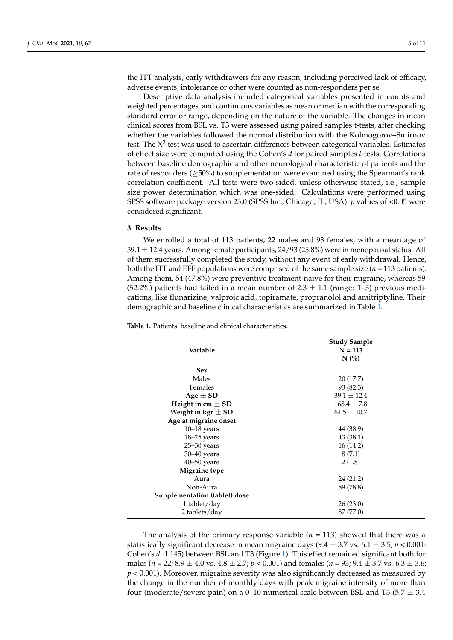the ITT analysis, early withdrawers for any reason, including perceived lack of efficacy, adverse events, intolerance or other were counted as non-responders per se.

Descriptive data analysis included categorical variables presented in counts and weighted percentages, and continuous variables as mean or median with the corresponding standard error or range, depending on the nature of the variable. The changes in mean clinical scores from BSL vs. T3 were assessed using paired samples t-tests, after checking whether the variables followed the normal distribution with the Kolmogorov–Smirnov test. The  $X^2$  test was used to ascertain differences between categorical variables. Estimates of effect size were computed using the Cohen's *d* for paired samples *t*-tests. Correlations between baseline demographic and other neurological characteristic of patients and the rate of responders ( $\geq$ 50%) to supplementation were examined using the Spearman's rank correlation coefficient. All tests were two-sided, unless otherwise stated, i.e., sample size power determination which was one-sided. Calculations were performed using SPSS software package version 23.0 (SPSS Inc., Chicago, IL, USA). *p* values of <0.05 were considered significant.

## **3. Results**

We enrolled a total of 113 patients, 22 males and 93 females, with a mean age of  $39.1 \pm 12.4$  years. Among female participants,  $24/93$  (25.8%) were in menopausal status. All of them successfully completed the study, without any event of early withdrawal. Hence, both the ITT and EFF populations were comprised of the same sample size  $(n = 113$  patients). Among them, 54 (47.8%) were preventive treatment-naïve for their migraine, whereas 59 (52.2%) patients had failed in a mean number of  $2.3 \pm 1.1$  (range: 1–5) previous medications, like flunarizine, valproic acid, topiramate, propranolol and amitriptyline. Their demographic and baseline clinical characteristics are summarized in Table [1.](#page-4-0)

<span id="page-4-0"></span>**Table 1.** Patients' baseline and clinical characteristics.

| Variable                      | <b>Study Sample</b><br>$N = 113$<br>$N$ $\left(\frac{9}{6}\right)$ |  |
|-------------------------------|--------------------------------------------------------------------|--|
| <b>Sex</b>                    |                                                                    |  |
| Males                         | 20(17.7)                                                           |  |
| Females                       | 93 (82.3)                                                          |  |
| Age $\pm$ SD                  | $39.1 \pm 12.4$                                                    |  |
| Height in cm $\pm$ SD         | $168.4 \pm 7.8$                                                    |  |
| Weight in kgr $\pm$ SD        | $64.5 \pm 10.7$                                                    |  |
| Age at migraine onset         |                                                                    |  |
| $10-18$ years                 | 44 (38.9)                                                          |  |
| 18-25 years                   | 43 (38.1)                                                          |  |
| $25 - 30$ years               | 16(14.2)                                                           |  |
| $30 - 40$ years               | 8(7.1)                                                             |  |
| $40 - 50$ years               | 2(1.8)                                                             |  |
| Migraine type                 |                                                                    |  |
| Aura                          | 24 (21.2)                                                          |  |
| Non-Aura                      | 89 (78.8)                                                          |  |
| Supplementation (tablet) dose |                                                                    |  |
| 1 tablet/day                  | 26(23.0)                                                           |  |
| 2 tablets/day                 | 87 (77.0)                                                          |  |

The analysis of the primary response variable  $(n = 113)$  showed that there was a statistically significant decrease in mean migraine days  $(9.4 \pm 3.7 \text{ vs. } 6.1 \pm 3.5; p < 0.001$ Cohen's *d*: 1.145) between BSL and T3 (Figure [1\)](#page-5-0). This effect remained significant both for males (*n* = 22; 8.9 ± 4.0 vs. 4.8 ± 2.7; *p* < 0.001) and females (*n* = 93; 9.4 ± 3.7 vs. 6.3 ± 3.6; *p* < 0.001). Moreover, migraine severity was also significantly decreased as measured by the change in the number of monthly days with peak migraine intensity of more than four (moderate/severe pain) on a 0–10 numerical scale between BSL and T3 (5.7  $\pm$  3.4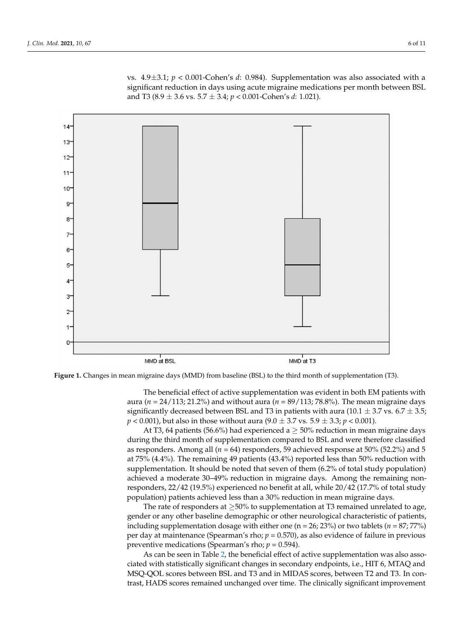vs. 4.9 $\pm$ 3.1;  $p < 0.001$ -Cohen's *d*: 0.984). Supplementation was also associated with a significant reduction in days using acute migraine medications per month between BSL and T3 (8.9 ± 3.6 vs. 5.7 ± 3.4; *p* < 0.001-Cohen's *d*: 1.021).

<span id="page-5-0"></span>

**Figure 1.** Changes in mean migraine days (MMD) from baseline (BSL) to the third month of supplementation (T3).

aura ( $n = 24/113$ ; 21.2%) and without aura ( $n = 89/113$ ; 78.8%). The mean migraine days significantly decreased between BSL and T3 in patients with aura ( $10.1 \pm 3.7$  vs.  $6.7 \pm 3.5$ ;  $p < 0.001$ ), but also in those without aura (9.0  $\pm$  3.7 vs. 5.9  $\pm$  3.3;  $p < 0.001$ ). The beneficial effect of active supplementation was evident in both EM patients with

At T3, 64 patients (56.6%) had experienced a  $\geq$  50% reduction in mean migraine days during the third month of supplementation compared to BSL and were therefore classified as responders. Among all ( $n = 64$ ) responders, 59 achieved response at 50% (52.2%) and 5 at 75% (4.4%). The remaining 49 patients (43.4%) reported less than 50% reduction with supplementation. It should be noted that seven of them (6.2% of total study population) achieved a moderate 30–49% reduction in migraine days. Among the remaining nonresponders, 22/42 (19.5%) experienced no benefit at all, while 20/42 (17.7% of total study population) patients achieved less than a 30% reduction in mean migraine days.

The rate of responders at  $\geq$ 50% to supplementation at T3 remained unrelated to age, gender or any other baseline demographic or other neurological characteristic of patients, including supplementation dosage with either one ( $n = 26$ ; 23%) or two tablets ( $n = 87$ ; 77%) per day at maintenance (Spearman's rho; *p* = 0.570), as also evidence of failure in previous (*n* = 8, 250) preventive medications (Spearman's rho; *p* = 0.594).

preventive incurrents (Spearman's rho;  $p = 0.594$ ).<br>As can be seen in Table [2,](#page-6-0) the beneficial effect of active supplementation was also assoprevious previous previous previous previous cated with statistically significant changes in secondary endpoints, i.e., HIT 6, MTAQ and  $\alpha$  can be seen in Table 2, the beneficial effect of active supplementation was also a supplementation was also been  $\alpha$ . MSQ-QOL scores between BSL and T3 and in MIDAS scores, between T2 and T3. In con-<br>treat, HADS second remained we shaped such time. The dirivelly significant innegation on t trast, HADS scores remained unchanged over time. The clinically significant improvement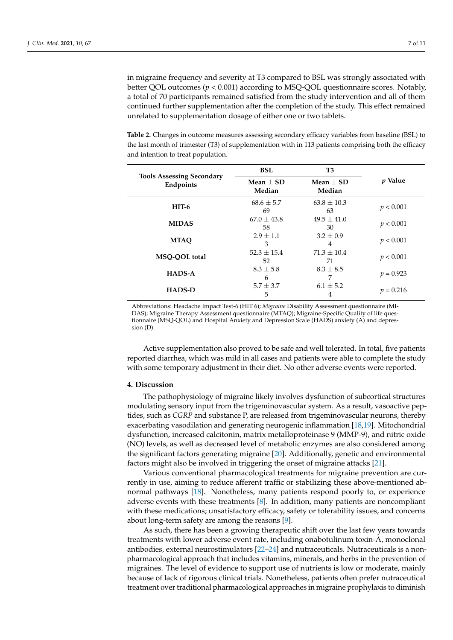in migraine frequency and severity at T3 compared to BSL was strongly associated with better QOL outcomes  $(p < 0.001)$  according to MSQ-QOL questionnaire scores. Notably, a total of 70 participants remained satisfied from the study intervention and all of them continued further supplementation after the completion of the study. This effect remained unrelated to supplementation dosage of either one or two tablets.

<span id="page-6-0"></span>**Table 2.** Changes in outcome measures assessing secondary efficacy variables from baseline (BSL) to the last month of trimester (T3) of supplementation with in 113 patients comprising both the efficacy and intention to treat population.

| <b>Tools Assessing Secondary</b><br>Endpoints | <b>BSL</b>            | T <sub>3</sub>        |                |
|-----------------------------------------------|-----------------------|-----------------------|----------------|
|                                               | Mean $+$ SD<br>Median | Mean $+$ SD<br>Median | <i>v</i> Value |
| $HIT-6$                                       | $68.6 \pm 5.7$<br>69  | $63.8 \pm 10.3$<br>63 | p < 0.001      |
| <b>MIDAS</b>                                  | $67.0 + 43.8$<br>58   | $49.5 + 41.0$<br>30   | p < 0.001      |
| <b>MTAO</b>                                   | $2.9 + 1.1$<br>3      | $3.2 + 0.9$<br>4      | p < 0.001      |
| MSO-OOL total                                 | $52.3 + 15.4$<br>52   | $71.3 + 10.4$<br>71   | p < 0.001      |
| HADS-A                                        | $8.3 \pm 5.8$<br>6    | $8.3 + 8.5$<br>7      | $p = 0.923$    |
| <b>HADS-D</b>                                 | $5.7 \pm 3.7$<br>5    | $6.1 \pm 5.2$<br>4    | $p = 0.216$    |

Abbreviations: Headache Impact Test-6 (HIT 6); *Migraine* Disability Assessment questionnaire (MI-DAS); Migraine Therapy Assessment questionnaire (MTAQ); Migraine-Specific Quality of life questionnaire (MSQ-QOL) and Hospital Anxiety and Depression Scale (HADS) anxiety (A) and depression (D).

Active supplementation also proved to be safe and well tolerated. In total, five patients reported diarrhea, which was mild in all cases and patients were able to complete the study with some temporary adjustment in their diet. No other adverse events were reported.

#### **4. Discussion**

The pathophysiology of migraine likely involves dysfunction of subcortical structures modulating sensory input from the trigeminovascular system. As a result, vasoactive peptides, such as *CGRP* and substance P, are released from trigeminovascular neurons, thereby exacerbating vasodilation and generating neurogenic inflammation [\[18,](#page-9-17)[19\]](#page-9-18). Mitochondrial dysfunction, increased calcitonin, matrix metalloproteinase 9 (MMP-9), and nitric oxide (NO) levels, as well as decreased level of metabolic enzymes are also considered among the significant factors generating migraine [\[20\]](#page-9-19). Additionally, genetic and environmental factors might also be involved in triggering the onset of migraine attacks [\[21\]](#page-9-20).

Various conventional pharmacological treatments for migraine prevention are currently in use, aiming to reduce afferent traffic or stabilizing these above-mentioned abnormal pathways [\[18\]](#page-9-17). Nonetheless, many patients respond poorly to, or experience adverse events with these treatments [\[8\]](#page-9-7). In addition, many patients are noncompliant with these medications; unsatisfactory efficacy, safety or tolerability issues, and concerns about long-term safety are among the reasons [\[9\]](#page-9-8).

As such, there has been a growing therapeutic shift over the last few years towards treatments with lower adverse event rate, including onabotulinum toxin-A, monoclonal antibodies, external neurostimulators [\[22](#page-10-0)[–24\]](#page-10-1) and nutraceuticals. Nutraceuticals is a nonpharmacological approach that includes vitamins, minerals, and herbs in the prevention of migraines. The level of evidence to support use of nutrients is low or moderate, mainly because of lack of rigorous clinical trials. Nonetheless, patients often prefer nutraceutical treatment over traditional pharmacological approaches in migraine prophylaxis to diminish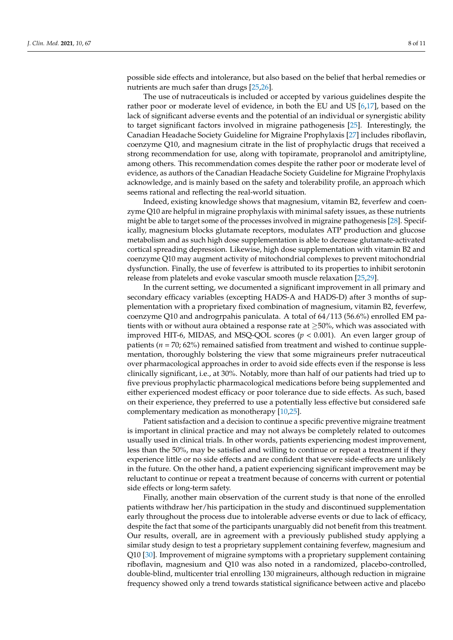possible side effects and intolerance, but also based on the belief that herbal remedies or nutrients are much safer than drugs [\[25,](#page-10-2)[26\]](#page-10-3).

The use of nutraceuticals is included or accepted by various guidelines despite the rather poor or moderate level of evidence, in both the EU and US [\[6](#page-9-5)[,17\]](#page-9-16), based on the lack of significant adverse events and the potential of an individual or synergistic ability to target significant factors involved in migraine pathogenesis [\[25\]](#page-10-2). Interestingly, the Canadian Headache Society Guideline for Migraine Prophylaxis [\[27\]](#page-10-4) includes riboflavin, coenzyme Q10, and magnesium citrate in the list of prophylactic drugs that received a strong recommendation for use, along with topiramate, propranolol and amitriptyline, among others. This recommendation comes despite the rather poor or moderate level of evidence, as authors of the Canadian Headache Society Guideline for Migraine Prophylaxis acknowledge, and is mainly based on the safety and tolerability profile, an approach which seems rational and reflecting the real-world situation.

Indeed, existing knowledge shows that magnesium, vitamin B2, feverfew and coenzyme Q10 are helpful in migraine prophylaxis with minimal safety issues, as these nutrients might be able to target some of the processes involved in migraine pathogenesis [\[28\]](#page-10-5). Specifically, magnesium blocks glutamate receptors, modulates ATP production and glucose metabolism and as such high dose supplementation is able to decrease glutamate-activated cortical spreading depression. Likewise, high dose supplementation with vitamin B2 and coenzyme Q10 may augment activity of mitochondrial complexes to prevent mitochondrial dysfunction. Finally, the use of feverfew is attributed to its properties to inhibit serotonin release from platelets and evoke vascular smooth muscle relaxation [\[25,](#page-10-2)[29\]](#page-10-6).

In the current setting, we documented a significant improvement in all primary and secondary efficacy variables (excepting HADS-A and HADS-D) after 3 months of supplementation with a proprietary fixed combination of magnesium, vitamin B2, feverfew, coenzyme Q10 and androgrpahis paniculata. A total of 64/113 (56.6%) enrolled EM patients with or without aura obtained a response rate at  $\geq$ 50%, which was associated with improved HIT-6, MIDAS, and MSQ-QOL scores  $(p < 0.001)$ . An even larger group of patients ( $n = 70$ ; 62%) remained satisfied from treatment and wished to continue supplementation, thoroughly bolstering the view that some migraineurs prefer nutraceutical over pharmacological approaches in order to avoid side effects even if the response is less clinically significant, i.e., at 30%. Notably, more than half of our patients had tried up to five previous prophylactic pharmacological medications before being supplemented and either experienced modest efficacy or poor tolerance due to side effects. As such, based on their experience, they preferred to use a potentially less effective but considered safe complementary medication as monotherapy [\[10,](#page-9-9)[25\]](#page-10-2).

Patient satisfaction and a decision to continue a specific preventive migraine treatment is important in clinical practice and may not always be completely related to outcomes usually used in clinical trials. In other words, patients experiencing modest improvement, less than the 50%, may be satisfied and willing to continue or repeat a treatment if they experience little or no side effects and are confident that severe side-effects are unlikely in the future. On the other hand, a patient experiencing significant improvement may be reluctant to continue or repeat a treatment because of concerns with current or potential side effects or long-term safety.

Finally, another main observation of the current study is that none of the enrolled patients withdraw her/his participation in the study and discontinued supplementation early throughout the process due to intolerable adverse events or due to lack of efficacy, despite the fact that some of the participants unarguably did not benefit from this treatment. Our results, overall, are in agreement with a previously published study applying a similar study design to test a proprietary supplement containing feverfew, magnesium and Q10 [\[30\]](#page-10-7). Improvement of migraine symptoms with a proprietary supplement containing riboflavin, magnesium and Q10 was also noted in a randomized, placebo-controlled, double-blind, multicenter trial enrolling 130 migraineurs, although reduction in migraine frequency showed only a trend towards statistical significance between active and placebo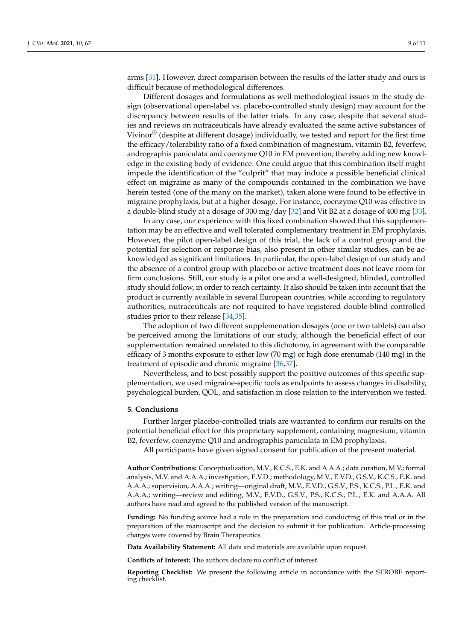arms [\[31\]](#page-10-8). However, direct comparison between the results of the latter study and ours is difficult because of methodological differences.

Different dosages and formulations as well methodological issues in the study design (observational open-label vs. placebo-controlled study design) may account for the discrepancy between results of the latter trials. In any case, despite that several studies and reviews on nutraceuticals have already evaluated the same active substances of Vivinor $\mathcal{O}$  (despite at different dosage) individually, we tested and report for the first time the efficacy/tolerability ratio of a fixed combination of magnesium, vitamin B2, feverfew, andrographis paniculata and coenzyme Q10 in EM prevention; thereby adding new knowledge in the existing body of evidence. One could argue that this combination itself might impede the identification of the "culprit" that may induce a possible beneficial clinical effect on migraine as many of the compounds contained in the combination we have herein tested (one of the many on the market), taken alone were found to be effective in migraine prophylaxis, but at a higher dosage. For instance, coenzyme Q10 was effective in a double-blind study at a dosage of 300 mg/day [\[32\]](#page-10-9) and Vit B2 at a dosage of 400 mg [\[33\]](#page-10-10).

In any case, our experience with this fixed combination showed that this supplementation may be an effective and well tolerated complementary treatment in EM prophylaxis. However, the pilot open-label design of this trial, the lack of a control group and the potential for selection or response bias, also present in other similar studies, can be acknowledged as significant limitations. In particular, the open-label design of our study and the absence of a control group with placebo or active treatment does not leave room for firm conclusions. Still, our study is a pilot one and a well-designed, blinded, controlled study should follow, in order to reach certainty. It also should be taken into account that the product is currently available in several European countries, while according to regulatory authorities, nutraceuticals are not required to have registered double-blind controlled studies prior to their release [\[34,](#page-10-11)[35\]](#page-10-12).

The adoption of two different supplemenation dosages (one or two tablets) can also be perceived among the limitations of our study, although the beneficial effect of our supplementation remained unrelated to this dichotomy, in agreement with the comparable efficacy of 3 months exposure to either low (70 mg) or high dose erenumab (140 mg) in the treatment of episodic and chronic migraine [\[36,](#page-10-13)[37\]](#page-10-14).

Nevertheless, and to best possibly support the positive outcomes of this specific supplementation, we used migraine-specific tools as endpoints to assess changes in disability, psychological burden, QOL, and satisfaction in close relation to the intervention we tested.

#### **5. Conclusions**

Further larger placebo-controlled trials are warranted to confirm our results on the potential beneficial effect for this proprietary supplement, containing magnesium, vitamin B2, feverfew, coenzyme Q10 and andrographis paniculata in EM prophylaxis.

All participants have given signed consent for publication of the present material.

**Author Contributions:** Conceptualization, M.V., K.C.S., E.K. and A.A.A.; data curation, M.V.; formal analysis, M.V. and A.A.A.; investigation, E.V.D.; methodology, M.V., E.V.D., G.S.V., K.C.S., E.K. and A.A.A.; supervision, A.A.A.; writing—original draft, M.V., E.V.D., G.S.V., P.S., K.C.S., P.L., E.K. and A.A.A.; writing—review and editing, M.V., E.V.D., G.S.V., P.S., K.C.S., P.L., E.K. and A.A.A. All authors have read and agreed to the published version of the manuscript.

**Funding:** No funding source had a role in the preparation and conducting of this trial or in the preparation of the manuscript and the decision to submit it for publication. Article-processing charges were covered by Brain Therapeutics.

**Data Availability Statement:** All data and materials are available upon request.

**Conflicts of Interest:** The authors declare no conflict of interest.

**Reporting Checklist:** We present the following article in accordance with the STROBE reporting checklist.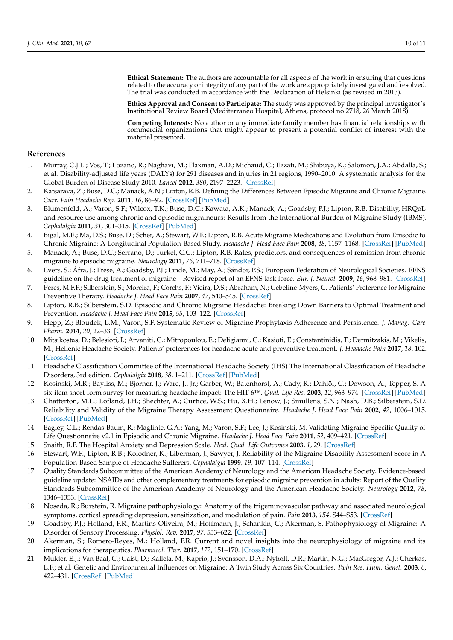**Ethical Statement:** The authors are accountable for all aspects of the work in ensuring that questions related to the accuracy or integrity of any part of the work are appropriately investigated and resolved. The trial was conducted in accordance with the Declaration of Helsinki (as revised in 2013).

**Ethics Approval and Consent to Participate:** The study was approved by the principal investigator's Institutional Review Board (Mediterraneo Hospital, Athens, protocol no 2718, 26 March 2018).

**Competing Interests:** No author or any immediate family member has financial relationships with commercial organizations that might appear to present a potential conflict of interest with the material presented.

## **References**

- <span id="page-9-0"></span>1. Murray, C.J.L.; Vos, T.; Lozano, R.; Naghavi, M.; Flaxman, A.D.; Michaud, C.; Ezzati, M.; Shibuya, K.; Salomon, J.A.; Abdalla, S.; et al. Disability-adjusted life years (DALYs) for 291 diseases and injuries in 21 regions, 1990–2010: A systematic analysis for the Global Burden of Disease Study 2010. *Lancet* **2012**, *380*, 2197–2223. [\[CrossRef\]](http://dx.doi.org/10.1016/S0140-6736(12)61689-4)
- <span id="page-9-1"></span>2. Katsarava, Z.; Buse, D.C.; Manack, A.N.; Lipton, R.B. Defining the Differences Between Episodic Migraine and Chronic Migraine. *Curr. Pain Headache Rep.* **2011**, *16*, 86–92. [\[CrossRef\]](http://dx.doi.org/10.1007/s11916-011-0233-z) [\[PubMed\]](http://www.ncbi.nlm.nih.gov/pubmed/22083262)
- <span id="page-9-2"></span>3. Blumenfeld, A.; Varon, S.F.; Wilcox, T.K.; Buse, D.C.; Kawata, A.K.; Manack, A.; Goadsby, P.J.; Lipton, R.B. Disability, HRQoL and resource use among chronic and episodic migraineurs: Results from the International Burden of Migraine Study (IBMS). *Cephalalgia* **2011**, *31*, 301–315. [\[CrossRef\]](http://dx.doi.org/10.1177/0333102410381145) [\[PubMed\]](http://www.ncbi.nlm.nih.gov/pubmed/20813784)
- <span id="page-9-3"></span>4. Bigal, M.E.; Ma, D.S.; Buse, D.; Scher, A.; Stewart, W.F.; Lipton, R.B. Acute Migraine Medications and Evolution from Episodic to Chronic Migraine: A Longitudinal Population-Based Study. *Headache J. Head Face Pain* **2008**, *48*, 1157–1168. [\[CrossRef\]](http://dx.doi.org/10.1111/j.1526-4610.2008.01217.x) [\[PubMed\]](http://www.ncbi.nlm.nih.gov/pubmed/18808500)
- <span id="page-9-4"></span>5. Manack, A.; Buse, D.C.; Serrano, D.; Turkel, C.C.; Lipton, R.B. Rates, predictors, and consequences of remission from chronic migraine to episodic migraine. *Neurology* **2011**, *76*, 711–718. [\[CrossRef\]](http://dx.doi.org/10.1212/WNL.0b013e31820d8af2)
- <span id="page-9-5"></span>6. Evers, S.; Áfra, J.; Frese, A.; Goadsby, P.J.; Linde, M.; May, A.; Sándor, P.S.; European Federation of Neurological Societies. EFNS guideline on the drug treatment of migraine—Revised report of an EFNS task force. *Eur. J. Neurol.* **2009**, *16*, 968–981. [\[CrossRef\]](http://dx.doi.org/10.1111/j.1468-1331.2009.02748.x)
- <span id="page-9-6"></span>7. Peres, M.F.P.; Silberstein, S.; Moreira, F.; Corchs, F.; Vieira, D.S.; Abraham, N.; Gebeline-Myers, C. Patients' Preference for Migraine Preventive Therapy. *Headache J. Head Face Pain* **2007**, *47*, 540–545. [\[CrossRef\]](http://dx.doi.org/10.1111/j.1526-4610.2007.00757.x)
- <span id="page-9-7"></span>8. Lipton, R.B.; Silberstein, S.D. Episodic and Chronic Migraine Headache: Breaking Down Barriers to Optimal Treatment and Prevention. *Headache J. Head Face Pain* **2015**, *55*, 103–122. [\[CrossRef\]](http://dx.doi.org/10.1111/head.12505_2)
- <span id="page-9-8"></span>9. Hepp, Z.; Bloudek, L.M.; Varon, S.F. Systematic Review of Migraine Prophylaxis Adherence and Persistence. *J. Manag. Care Pharm.* **2014**, *20*, 22–33. [\[CrossRef\]](http://dx.doi.org/10.18553/jmcp.2014.20.1.22)
- <span id="page-9-9"></span>10. Mitsikostas, D.; Belesioti, I.; Arvaniti, C.; Mitropoulou, E.; Deligianni, C.; Kasioti, E.; Constantinidis, T.; Dermitzakis, M.; Vikelis, M.; Hellenic Headache Society. Patients' preferences for headache acute and preventive treatment. *J. Headache Pain* **2017**, *18*, 102. [\[CrossRef\]](http://dx.doi.org/10.1186/s10194-017-0813-3)
- <span id="page-9-10"></span>11. Headache Classification Committee of the International Headache Society (IHS) The International Classification of Headache Disorders, 3rd edition. *Cephalalgia* **2018**, *38*, 1–211. [\[CrossRef\]](http://dx.doi.org/10.1177/0333102417738202) [\[PubMed\]](http://www.ncbi.nlm.nih.gov/pubmed/29368949)
- <span id="page-9-11"></span>12. Kosinski, M.R.; Bayliss, M.; Bjorner, J.; Ware, J., Jr.; Garber, W.; Batenhorst, A.; Cady, R.; Dahlöf, C.; Dowson, A.; Tepper, S. A six-item short-form survey for measuring headache impact: The HIT-6™. *Qual. Life Res.* **2003**, *12*, 963–974. [\[CrossRef\]](http://dx.doi.org/10.1023/A:1026119331193) [\[PubMed\]](http://www.ncbi.nlm.nih.gov/pubmed/14651415)
- <span id="page-9-12"></span>13. Chatterton, M.L.; Lofland, J.H.; Shechter, A.; Curtice, W.S.; Hu, X.H.; Lenow, J.; Smullens, S.N.; Nash, D.B.; Silberstein, S.D. Reliability and Validity of the Migraine Therapy Assessment Questionnaire. *Headache J. Head Face Pain* **2002**, *42*, 1006–1015. [\[CrossRef\]](http://dx.doi.org/10.1046/j.1526-4610.2002.02230.x) [\[PubMed\]](http://www.ncbi.nlm.nih.gov/pubmed/12453032)
- <span id="page-9-13"></span>14. Bagley, C.L.; Rendas-Baum, R.; Maglinte, G.A.; Yang, M.; Varon, S.F.; Lee, J.; Kosinski, M. Validating Migraine-Specific Quality of Life Questionnaire v2.1 in Episodic and Chronic Migraine. *Headache J. Head Face Pain* **2011**, *52*, 409–421. [\[CrossRef\]](http://dx.doi.org/10.1111/j.1526-4610.2011.01997.x)
- <span id="page-9-14"></span>15. Snaith, R.P. The Hospital Anxiety and Depression Scale. *Heal. Qual. Life Outcomes* **2003**, *1*, 29. [\[CrossRef\]](http://dx.doi.org/10.1186/1477-7525-1-29)
- <span id="page-9-15"></span>16. Stewart, W.F.; Lipton, R.B.; Kolodner, K.; Liberman, J.; Sawyer, J. Reliability of the Migraine Disability Assessment Score in A Population-Based Sample of Headache Sufferers. *Cephalalgia* **1999**, *19*, 107–114. [\[CrossRef\]](http://dx.doi.org/10.1046/j.1468-2982.1999.019002107.x)
- <span id="page-9-16"></span>17. Quality Standards Subcommittee of the American Academy of Neurology and the American Headache Society. Evidence-based guideline update: NSAIDs and other complementary treatments for episodic migraine prevention in adults: Report of the Quality Standards Subcommittee of the American Academy of Neurology and the American Headache Society. *Neurology* **2012**, *78*, 1346–1353. [\[CrossRef\]](http://dx.doi.org/10.1212/WNL.0b013e3182535d0c)
- <span id="page-9-17"></span>18. Noseda, R.; Burstein, R. Migraine pathophysiology: Anatomy of the trigeminovascular pathway and associated neurological symptoms, cortical spreading depression, sensitization, and modulation of pain. *Pain* **2013**, *154*, S44–S53. [\[CrossRef\]](http://dx.doi.org/10.1016/j.pain.2013.07.021)
- <span id="page-9-18"></span>19. Goadsby, P.J.; Holland, P.R.; Martins-Oliveira, M.; Hoffmann, J.; Schankin, C.; Akerman, S. Pathophysiology of Migraine: A Disorder of Sensory Processing. *Physiol. Rev.* **2017**, *97*, 553–622. [\[CrossRef\]](http://dx.doi.org/10.1152/physrev.00034.2015)
- <span id="page-9-19"></span>20. Akerman, S.; Romero-Reyes, M.; Holland, P.R. Current and novel insights into the neurophysiology of migraine and its implications for therapeutics. *Pharmacol. Ther.* **2017**, *172*, 151–170. [\[CrossRef\]](http://dx.doi.org/10.1016/j.pharmthera.2016.12.005)
- <span id="page-9-20"></span>21. Mulder, E.J.; Van Baal, C.; Gaist, D.; Kallela, M.; Kaprio, J.; Svensson, D.A.; Nyholt, D.R.; Martin, N.G.; MacGregor, A.J.; Cherkas, L.F.; et al. Genetic and Environmental Influences on Migraine: A Twin Study Across Six Countries. *Twin Res. Hum. Genet.* **2003**, *6*, 422–431. [\[CrossRef\]](http://dx.doi.org/10.1375/136905203770326420) [\[PubMed\]](http://www.ncbi.nlm.nih.gov/pubmed/14624726)